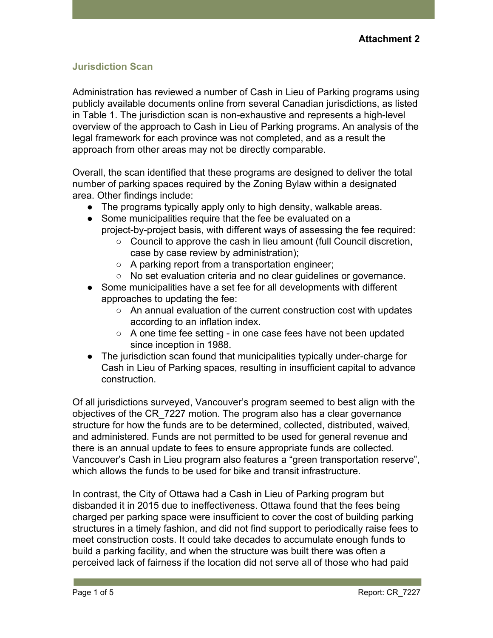#### **Jurisdiction Scan**

Administration has reviewed a number of Cash in Lieu of Parking programs using publicly available documents online from several Canadian jurisdictions, as listed in Table 1. The jurisdiction scan is non-exhaustive and represents a high-level overview of the approach to Cash in Lieu of Parking programs. An analysis of the legal framework for each province was not completed, and as a result the approach from other areas may not be directly comparable.

Overall, the scan identified that these programs are designed to deliver the total number of parking spaces required by the Zoning Bylaw within a designated area. Other findings include:

- The programs typically apply only to high density, walkable areas.
- Some municipalities require that the fee be evaluated on a project-by-project basis, with different ways of assessing the fee required:
	- Council to approve the cash in lieu amount (full Council discretion, case by case review by administration);
	- A parking report from a transportation engineer;
	- No set evaluation criteria and no clear quidelines or governance.
- Some municipalities have a set fee for all developments with different approaches to updating the fee:
	- An annual evaluation of the current construction cost with updates according to an inflation index.
	- A one time fee setting in one case fees have not been updated since inception in 1988.
- The jurisdiction scan found that municipalities typically under-charge for Cash in Lieu of Parking spaces, resulting in insufficient capital to advance construction.

Of all jurisdictions surveyed, Vancouver's program seemed to best align with the objectives of the CR\_7227 motion. The program also has a clear governance structure for how the funds are to be determined, collected, distributed, waived, and administered. Funds are not permitted to be used for general revenue and there is an annual update to fees to ensure appropriate funds are collected. Vancouver's Cash in Lieu program also features a "green transportation reserve", which allows the funds to be used for bike and transit infrastructure.

In contrast, the City of Ottawa had a Cash in Lieu of Parking program but disbanded it in 2015 due to ineffectiveness. Ottawa found that the fees being charged per parking space were insufficient to cover the cost of building parking structures in a timely fashion, and did not find support to periodically raise fees to meet construction costs. It could take decades to accumulate enough funds to build a parking facility, and when the structure was built there was often a perceived lack of fairness if the location did not serve all of those who had paid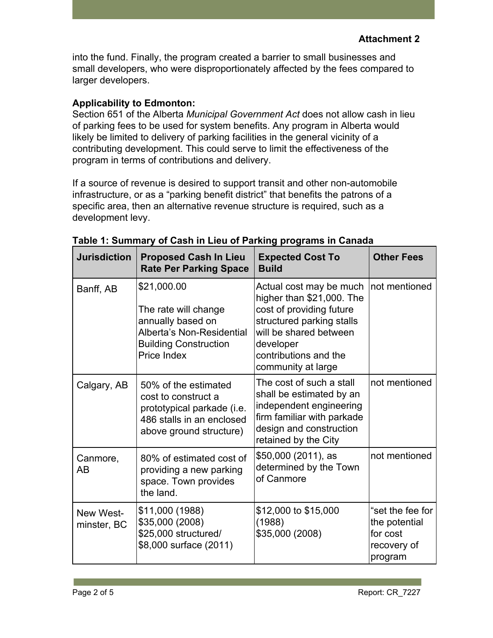into the fund. Finally, the program created a barrier to small businesses and small developers, who were disproportionately affected by the fees compared to larger developers.

## **Applicability to Edmonton:**

Section 651 of the Alberta *Municipal Government Act* does not allow cash in lieu of parking fees to be used for system benefits. Any program in Alberta would likely be limited to delivery of parking facilities in the general vicinity of a contributing development. This could serve to limit the effectiveness of the program in terms of contributions and delivery.

If a source of revenue is desired to support transit and other non-automobile infrastructure, or as a "parking benefit district" that benefits the patrons of a specific area, then an alternative revenue structure is required, such as a development levy.

| <b>Jurisdiction</b>      | <b>Proposed Cash In Lieu</b><br><b>Rate Per Parking Space</b>                                                                        | <b>Expected Cost To</b><br><b>Build</b>                                                                                                                                                             | <b>Other Fees</b>                                                       |
|--------------------------|--------------------------------------------------------------------------------------------------------------------------------------|-----------------------------------------------------------------------------------------------------------------------------------------------------------------------------------------------------|-------------------------------------------------------------------------|
| Banff, AB                | \$21,000.00<br>The rate will change<br>annually based on<br>Alberta's Non-Residential<br><b>Building Construction</b><br>Price Index | Actual cost may be much<br>higher than \$21,000. The<br>cost of providing future<br>structured parking stalls<br>will be shared between<br>developer<br>contributions and the<br>community at large | not mentioned                                                           |
| Calgary, AB              | 50% of the estimated<br>cost to construct a<br>prototypical parkade (i.e.<br>486 stalls in an enclosed<br>above ground structure)    | The cost of such a stall<br>shall be estimated by an<br>independent engineering<br>firm familiar with parkade<br>design and construction<br>retained by the City                                    | not mentioned                                                           |
| Canmore,<br>AB           | 80% of estimated cost of<br>providing a new parking<br>space. Town provides<br>the land.                                             | \$50,000 (2011), as<br>determined by the Town<br>of Canmore                                                                                                                                         | not mentioned                                                           |
| New West-<br>minster, BC | \$11,000 (1988)<br>\$35,000 (2008)<br>\$25,000 structured/<br>\$8,000 surface (2011)                                                 | \$12,000 to \$15,000<br>(1988)<br>\$35,000 (2008)                                                                                                                                                   | "set the fee for<br>the potential<br>for cost<br>recovery of<br>program |

### **Table 1: Summary of Cash in Lieu of Parking programs in Canada**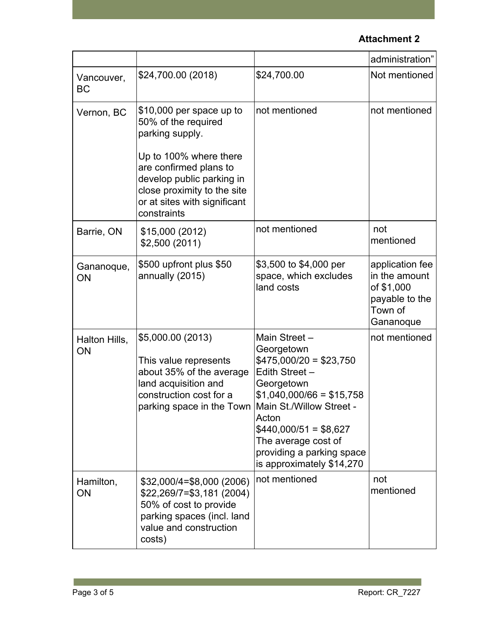# **Attachment 2**

|                         |                                                                                                                                                             |                                                                                                                                                                                                                                                                     | administration"                                                                          |
|-------------------------|-------------------------------------------------------------------------------------------------------------------------------------------------------------|---------------------------------------------------------------------------------------------------------------------------------------------------------------------------------------------------------------------------------------------------------------------|------------------------------------------------------------------------------------------|
| Vancouver,<br><b>BC</b> | \$24,700.00 (2018)                                                                                                                                          | \$24,700.00                                                                                                                                                                                                                                                         | Not mentioned                                                                            |
| Vernon, BC              | \$10,000 per space up to<br>50% of the required<br>parking supply.                                                                                          | not mentioned                                                                                                                                                                                                                                                       | not mentioned                                                                            |
|                         | Up to 100% where there<br>are confirmed plans to<br>develop public parking in<br>close proximity to the site<br>or at sites with significant<br>constraints |                                                                                                                                                                                                                                                                     |                                                                                          |
| Barrie, ON              | \$15,000 (2012)<br>\$2,500 (2011)                                                                                                                           | not mentioned                                                                                                                                                                                                                                                       | not<br>mentioned                                                                         |
| Gananoque,<br>ON        | \$500 upfront plus \$50<br>annually (2015)                                                                                                                  | \$3,500 to \$4,000 per<br>space, which excludes<br>land costs                                                                                                                                                                                                       | application fee<br>in the amount<br>of \$1,000<br>payable to the<br>Town of<br>Gananoque |
| Halton Hills,<br>ON     | \$5,000.00 (2013)<br>This value represents<br>about 35% of the average<br>land acquisition and<br>construction cost for a<br>parking space in the Town      | Main Street -<br>Georgetown<br>$$475,000/20 = $23,750$<br>Edith Street -<br>Georgetown<br>$$1,040,000/66 = $15,758$<br>Main St./Willow Street -<br>Acton<br>$$440,000/51 = $8,627$<br>The average cost of<br>providing a parking space<br>is approximately \$14,270 | not mentioned                                                                            |
| Hamilton,<br>ON         | \$32,000/4=\$8,000 (2006)<br>$$22,269/7 = $3,181 (2004)$<br>50% of cost to provide<br>parking spaces (incl. land<br>value and construction<br>costs)        | not mentioned                                                                                                                                                                                                                                                       | not<br>mentioned                                                                         |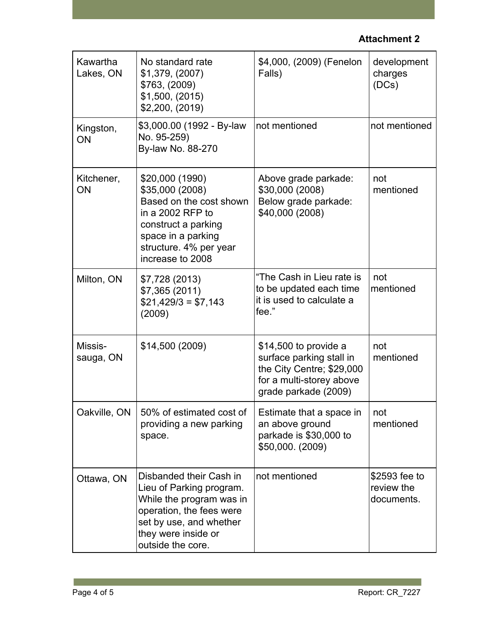# **Attachment 2**

| Kawartha<br>Lakes, ON | No standard rate<br>\$1,379, (2007)<br>\$763, (2009)<br>\$1,500, (2015)<br>\$2,200, (2019)                                                                                         | \$4,000, (2009) (Fenelon<br>Falls)                                                                                                 | development<br>charges<br>(DCs)           |
|-----------------------|------------------------------------------------------------------------------------------------------------------------------------------------------------------------------------|------------------------------------------------------------------------------------------------------------------------------------|-------------------------------------------|
| Kingston,<br>ON       | \$3,000.00 (1992 - By-law<br>No. 95-259)<br>By-law No. 88-270                                                                                                                      | not mentioned                                                                                                                      | not mentioned                             |
| Kitchener,<br>ON      | \$20,000 (1990)<br>\$35,000 (2008)<br>Based on the cost shown<br>in a 2002 RFP to<br>construct a parking<br>space in a parking<br>structure. 4% per year<br>increase to 2008       | Above grade parkade:<br>\$30,000 (2008)<br>Below grade parkade:<br>\$40,000 (2008)                                                 | not<br>mentioned                          |
| Milton, ON            | \$7,728 (2013)<br>\$7,365 (2011)<br>$$21,429/3 = $7,143$<br>(2009)                                                                                                                 | "The Cash in Lieu rate is<br>to be updated each time<br>it is used to calculate a<br>fee."                                         | not<br>mentioned                          |
| Missis-<br>sauga, ON  | \$14,500 (2009)                                                                                                                                                                    | \$14,500 to provide a<br>surface parking stall in<br>the City Centre; \$29,000<br>for a multi-storey above<br>grade parkade (2009) | not<br>mentioned                          |
|                       | Oakville, ON   50% of estimated cost of<br>providing a new parking<br>space.                                                                                                       | Estimate that a space in<br>an above ground<br>parkade is \$30,000 to<br>\$50,000. (2009)                                          | not<br>mentioned                          |
| Ottawa, ON            | Disbanded their Cash in<br>Lieu of Parking program.<br>While the program was in<br>operation, the fees were<br>set by use, and whether<br>they were inside or<br>outside the core. | not mentioned                                                                                                                      | \$2593 fee to<br>review the<br>documents. |